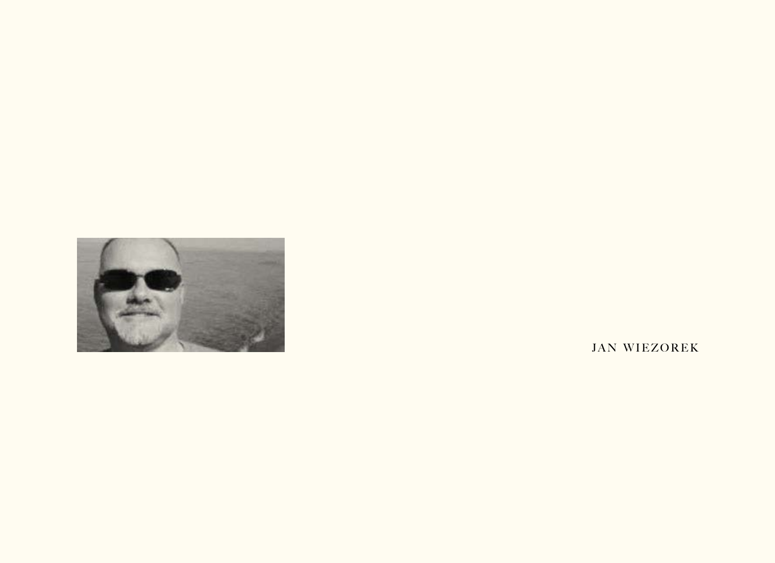

**JAN WIEZOREK**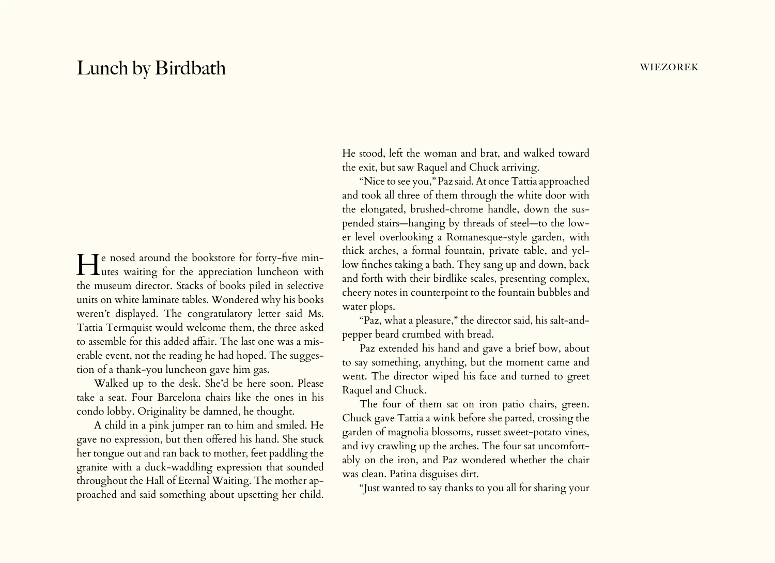## Lunch by Birdbath wiezorek

He nosed around the bookstore for forty-five min-utes waiting for the appreciation luncheon with the museum director. Stacks of books piled in selective units on white laminate tables. Wondered why his books weren't displayed. The congratulatory letter said Ms. Tattia Termquist would welcome them, the three asked to assemble for this added affair. The last one was a miserable event, not the reading he had hoped. The suggestion of a thank-you luncheon gave him gas.

Walked up to the desk. She'd be here soon. Please take a seat. Four Barcelona chairs like the ones in his condo lobby. Originality be damned, he thought.

A child in a pink jumper ran to him and smiled. He gave no expression, but then offered his hand. She stuck her tongue out and ran back to mother, feet paddling the granite with a duck-waddling expression that sounded throughout the Hall of Eternal Waiting. The mother approached and said something about upsetting her child.

He stood, left the woman and brat, and walked toward the exit, but saw Raquel and Chuck arriving.

"Nice to see you," Paz said. At once Tattia approached and took all three of them through the white door with the elongated, brushed-chrome handle, down the suspended stairs—hanging by threads of steel—to the lower level overlooking a Romanesque-style garden, with thick arches, a formal fountain, private table, and yellow finches taking a bath. They sang up and down, back and forth with their birdlike scales, presenting complex, cheery notes in counterpoint to the fountain bubbles and water plops.

"Paz, what a pleasure," the director said, his salt-andpepper beard crumbed with bread.

Paz extended his hand and gave a brief bow, about to say something, anything, but the moment came and went. The director wiped his face and turned to greet Raquel and Chuck.

The four of them sat on iron patio chairs, green. Chuck gave Tattia a wink before she parted, crossing the garden of magnolia blossoms, russet sweet-potato vines, and ivy crawling up the arches. The four sat uncomfortably on the iron, and Paz wondered whether the chair was clean. Patina disguises dirt.

"Just wanted to say thanks to you all for sharing your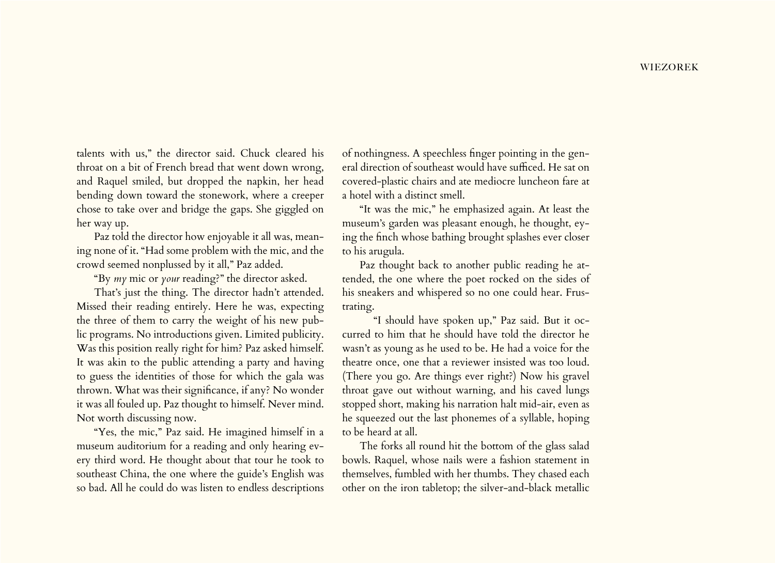talents with us," the director said. Chuck cleared his throat on a bit of French bread that went down wrong, and Raquel smiled, but dropped the napkin, her head bending down toward the stonework, where a creeper chose to take over and bridge the gaps. She giggled on her way up.

Paz told the director how enjoyable it all was, meaning none of it. "Had some problem with the mic, and the crowd seemed nonplussed by it all," Paz added.

"By *my* mic or *your* reading?" the director asked.

That's just the thing. The director hadn't attended. Missed their reading entirely. Here he was, expecting the three of them to carry the weight of his new public programs. No introductions given. Limited publicity. Was this position really right for him? Paz asked himself. It was akin to the public attending a party and having to guess the identities of those for which the gala was thrown. What was their significance, if any? No wonder it was all fouled up. Paz thought to himself. Never mind. Not worth discussing now.

"Yes, the mic," Paz said. He imagined himself in a museum auditorium for a reading and only hearing every third word. He thought about that tour he took to southeast China, the one where the guide's English was so bad. All he could do was listen to endless descriptions

of nothingness. A speechless finger pointing in the general direction of southeast would have sufficed. He sat on covered-plastic chairs and ate mediocre luncheon fare at a hotel with a distinct smell.

"It was the mic," he emphasized again. At least the museum's garden was pleasant enough, he thought, eying the finch whose bathing brought splashes ever closer to his arugula.

Paz thought back to another public reading he attended, the one where the poet rocked on the sides of his sneakers and whispered so no one could hear. Frustrating.

"I should have spoken up," Paz said. But it occurred to him that he should have told the director he wasn't as young as he used to be. He had a voice for the theatre once, one that a reviewer insisted was too loud. (There you go. Are things ever right?) Now his gravel throat gave out without warning, and his caved lungs stopped short, making his narration halt mid-air, even as he squeezed out the last phonemes of a syllable, hoping to be heard at all.

The forks all round hit the bottom of the glass salad bowls. Raquel, whose nails were a fashion statement in themselves, fumbled with her thumbs. They chased each other on the iron tabletop; the silver-and-black metallic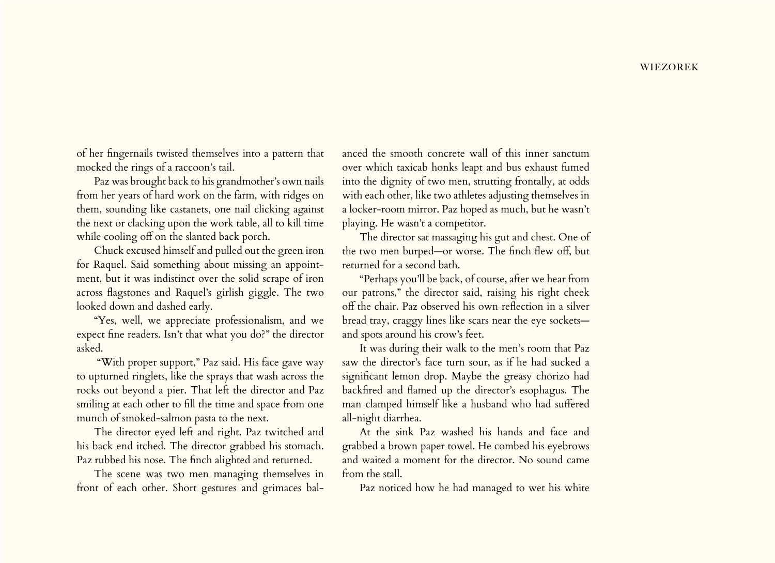of her fingernails twisted themselves into a pattern that mocked the rings of a raccoon's tail.

Paz was brought back to his grandmother's own nails from her years of hard work on the farm, with ridges on them, sounding like castanets, one nail clicking against the next or clacking upon the work table, all to kill time while cooling off on the slanted back porch.

Chuck excused himself and pulled out the green iron for Raquel. Said something about missing an appointment, but it was indistinct over the solid scrape of iron across flagstones and Raquel's girlish giggle. The two looked down and dashed early.

"Yes, well, we appreciate professionalism, and we expect fine readers. Isn't that what you do?" the director asked.

 "With proper support," Paz said. His face gave way to upturned ringlets, like the sprays that wash across the rocks out beyond a pier. That left the director and Paz smiling at each other to fill the time and space from one munch of smoked-salmon pasta to the next.

The director eyed left and right. Paz twitched and his back end itched. The director grabbed his stomach. Paz rubbed his nose. The finch alighted and returned.

The scene was two men managing themselves in front of each other. Short gestures and grimaces bal-

anced the smooth concrete wall of this inner sanctum over which taxicab honks leapt and bus exhaust fumed into the dignity of two men, strutting frontally, at odds with each other, like two athletes adjusting themselves in a locker-room mirror. Paz hoped as much, but he wasn't playing. He wasn't a competitor.

The director sat massaging his gut and chest. One of the two men burped—or worse. The finch flew off, but returned for a second bath.

"Perhaps you'll be back, of course, after we hear from our patrons," the director said, raising his right cheek off the chair. Paz observed his own reflection in a silver bread tray, craggy lines like scars near the eye sockets and spots around his crow's feet.

It was during their walk to the men's room that Paz saw the director's face turn sour, as if he had sucked a significant lemon drop. Maybe the greasy chorizo had backfired and flamed up the director's esophagus. The man clamped himself like a husband who had suffered all-night diarrhea.

At the sink Paz washed his hands and face and grabbed a brown paper towel. He combed his eyebrows and waited a moment for the director. No sound came from the stall.

Paz noticed how he had managed to wet his white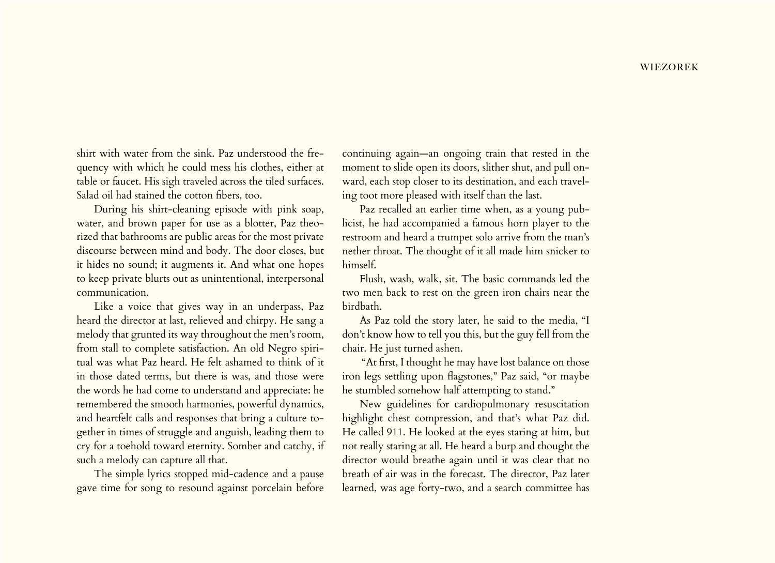shirt with water from the sink. Paz understood the frequency with which he could mess his clothes, either at table or faucet. His sigh traveled across the tiled surfaces. Salad oil had stained the cotton fibers, too.

During his shirt-cleaning episode with pink soap, water, and brown paper for use as a blotter, Paz theorized that bathrooms are public areas for the most private discourse between mind and body. The door closes, but it hides no sound; it augments it. And what one hopes to keep private blurts out as unintentional, interpersonal communication.

Like a voice that gives way in an underpass, Paz heard the director at last, relieved and chirpy. He sang a melody that grunted its way throughout the men's room, from stall to complete satisfaction. An old Negro spiritual was what Paz heard. He felt ashamed to think of it in those dated terms, but there is was, and those were the words he had come to understand and appreciate: he remembered the smooth harmonies, powerful dynamics, and heartfelt calls and responses that bring a culture together in times of struggle and anguish, leading them to cry for a toehold toward eternity. Somber and catchy, if such a melody can capture all that.

The simple lyrics stopped mid-cadence and a pause gave time for song to resound against porcelain before

continuing again—an ongoing train that rested in the moment to slide open its doors, slither shut, and pull onward, each stop closer to its destination, and each traveling toot more pleased with itself than the last.

Paz recalled an earlier time when, as a young publicist, he had accompanied a famous horn player to the restroom and heard a trumpet solo arrive from the man's nether throat. The thought of it all made him snicker to himself.

Flush, wash, walk, sit. The basic commands led the two men back to rest on the green iron chairs near the birdbath.

As Paz told the story later, he said to the media, "I don't know how to tell you this, but the guy fell from the chair. He just turned ashen.

 "At first, I thought he may have lost balance on those iron legs settling upon flagstones," Paz said, "or maybe he stumbled somehow half attempting to stand."

New guidelines for cardiopulmonary resuscitation highlight chest compression, and that's what Paz did. He called 911. He looked at the eyes staring at him, but not really staring at all. He heard a burp and thought the director would breathe again until it was clear that no breath of air was in the forecast. The director, Paz later learned, was age forty-two, and a search committee has